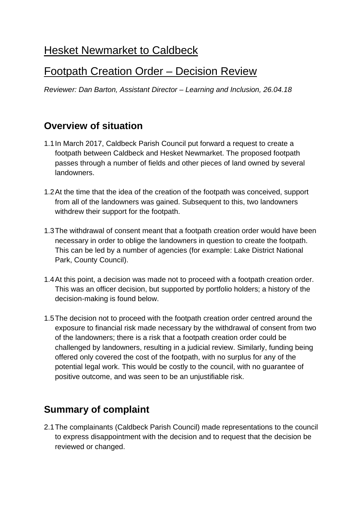# **Hesket Newmarket to Caldbeck**

## Footpath Creation Order – Decision Review

*Reviewer: Dan Barton, Assistant Director – Learning and Inclusion, 26.04.18*

#### **Overview of situation**

- 1.1In March 2017, Caldbeck Parish Council put forward a request to create a footpath between Caldbeck and Hesket Newmarket. The proposed footpath passes through a number of fields and other pieces of land owned by several landowners.
- 1.2At the time that the idea of the creation of the footpath was conceived, support from all of the landowners was gained. Subsequent to this, two landowners withdrew their support for the footpath.
- 1.3The withdrawal of consent meant that a footpath creation order would have been necessary in order to oblige the landowners in question to create the footpath. This can be led by a number of agencies (for example: Lake District National Park, County Council).
- 1.4At this point, a decision was made not to proceed with a footpath creation order. This was an officer decision, but supported by portfolio holders; a history of the decision-making is found below.
- 1.5The decision not to proceed with the footpath creation order centred around the exposure to financial risk made necessary by the withdrawal of consent from two of the landowners; there is a risk that a footpath creation order could be challenged by landowners, resulting in a judicial review. Similarly, funding being offered only covered the cost of the footpath, with no surplus for any of the potential legal work. This would be costly to the council, with no guarantee of positive outcome, and was seen to be an unjustifiable risk.

#### **Summary of complaint**

2.1The complainants (Caldbeck Parish Council) made representations to the council to express disappointment with the decision and to request that the decision be reviewed or changed.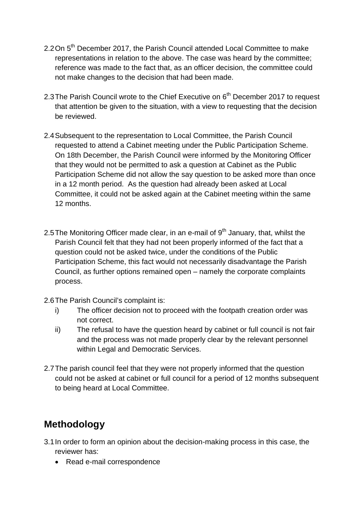- 2.2 On 5<sup>th</sup> December 2017, the Parish Council attended Local Committee to make representations in relation to the above. The case was heard by the committee; reference was made to the fact that, as an officer decision, the committee could not make changes to the decision that had been made.
- 2.3 The Parish Council wrote to the Chief Executive on 6<sup>th</sup> December 2017 to request that attention be given to the situation, with a view to requesting that the decision be reviewed.
- 2.4Subsequent to the representation to Local Committee, the Parish Council requested to attend a Cabinet meeting under the Public Participation Scheme. On 18th December, the Parish Council were informed by the Monitoring Officer that they would not be permitted to ask a question at Cabinet as the Public Participation Scheme did not allow the say question to be asked more than once in a 12 month period. As the question had already been asked at Local Committee, it could not be asked again at the Cabinet meeting within the same 12 months.
- 2.5 The Monitoring Officer made clear, in an e-mail of  $9<sup>th</sup>$  January, that, whilst the Parish Council felt that they had not been properly informed of the fact that a question could not be asked twice, under the conditions of the Public Participation Scheme, this fact would not necessarily disadvantage the Parish Council, as further options remained open – namely the corporate complaints process.
- 2.6The Parish Council's complaint is:
	- i) The officer decision not to proceed with the footpath creation order was not correct.
	- ii) The refusal to have the question heard by cabinet or full council is not fair and the process was not made properly clear by the relevant personnel within Legal and Democratic Services.
- 2.7The parish council feel that they were not properly informed that the question could not be asked at cabinet or full council for a period of 12 months subsequent to being heard at Local Committee.

#### **Methodology**

- 3.1In order to form an opinion about the decision-making process in this case, the reviewer has:
	- · Read e-mail correspondence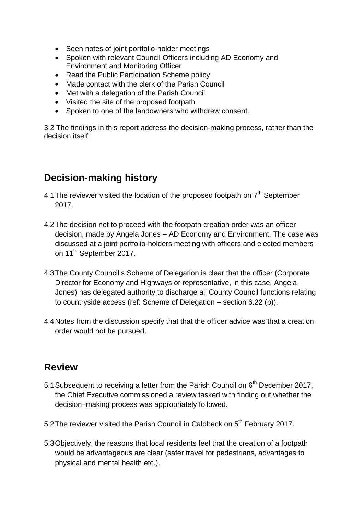- · Seen notes of joint portfolio-holder meetings
- · Spoken with relevant Council Officers including AD Economy and Environment and Monitoring Officer
- Read the Public Participation Scheme policy
- · Made contact with the clerk of the Parish Council
- · Met with a delegation of the Parish Council
- · Visited the site of the proposed footpath
- · Spoken to one of the landowners who withdrew consent.

3.2 The findings in this report address the decision-making process, rather than the decision itself.

#### **Decision-making history**

- 4.1 The reviewer visited the location of the proposed footpath on  $7<sup>th</sup>$  September 2017.
- 4.2The decision not to proceed with the footpath creation order was an officer decision, made by Angela Jones – AD Economy and Environment. The case was discussed at a joint portfolio-holders meeting with officers and elected members on 11<sup>th</sup> September 2017.
- 4.3The County Council's Scheme of Delegation is clear that the officer (Corporate Director for Economy and Highways or representative, in this case, Angela Jones) has delegated authority to discharge all County Council functions relating to countryside access (ref: Scheme of Delegation – section 6.22 (b)).
- 4.4Notes from the discussion specify that that the officer advice was that a creation order would not be pursued.

#### **Review**

- 5.1 Subsequent to receiving a letter from the Parish Council on  $6<sup>th</sup>$  December 2017, the Chief Executive commissioned a review tasked with finding out whether the decision–making process was appropriately followed.
- 5.2 The reviewer visited the Parish Council in Caldbeck on 5<sup>th</sup> February 2017.
- 5.3Objectively, the reasons that local residents feel that the creation of a footpath would be advantageous are clear (safer travel for pedestrians, advantages to physical and mental health etc.).